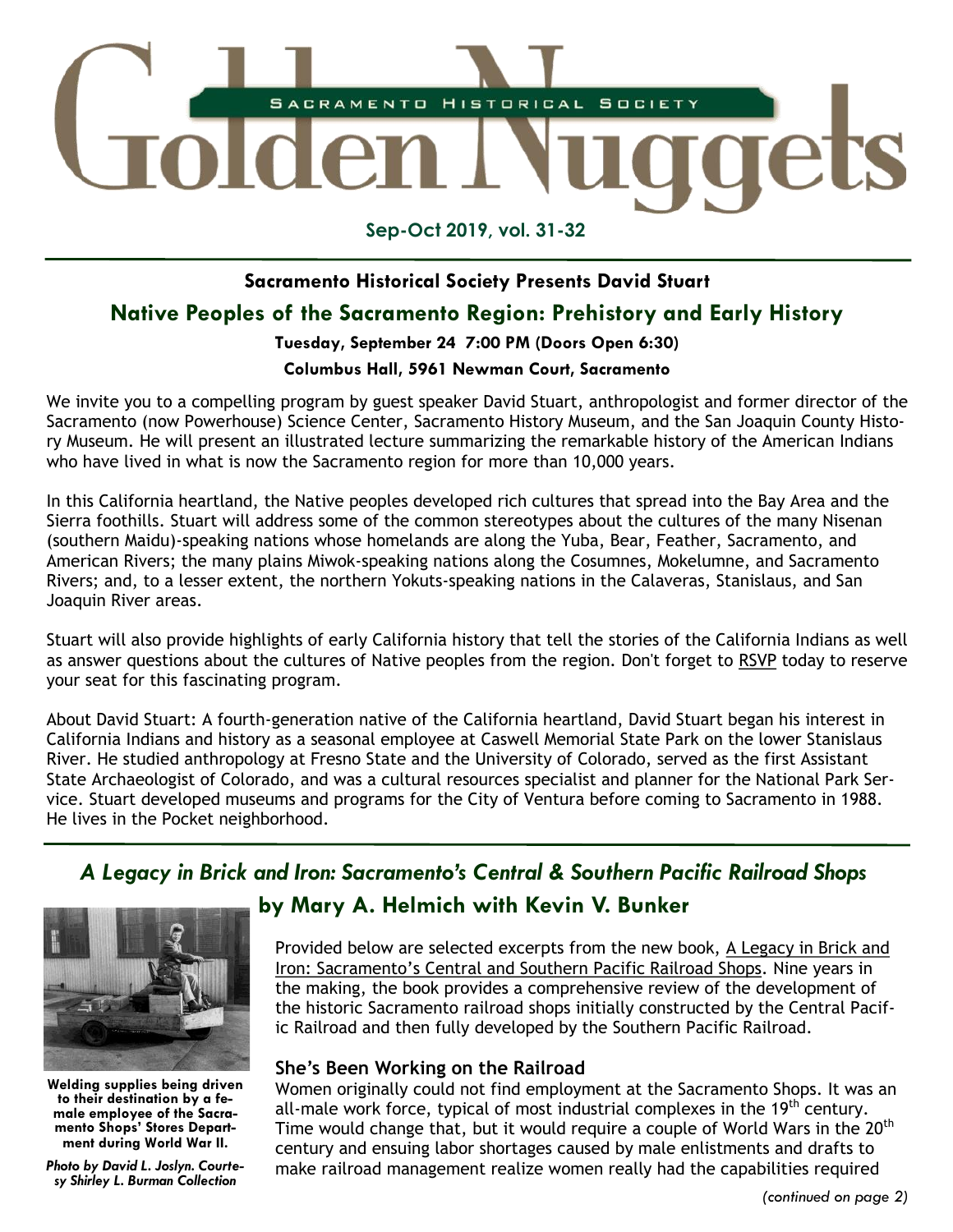

**Sep-Oct 2019, vol. 31-32**

#### **Sacramento Historical Society Presents David Stuart**

### **Native Peoples of the Sacramento Region: Prehistory and Early History**

#### **Tuesday, September 24 7:00 PM (Doors Open 6:30)**

#### **Columbus Hall, 5961 Newman Court, Sacramento**

We invite you to a compelling program by guest speaker David Stuart, anthropologist and former director of the Sacramento (now Powerhouse) Science Center, Sacramento History Museum, and the San Joaquin County History Museum. He will present an illustrated lecture summarizing the remarkable history of the American Indians who have lived in what is now the Sacramento region for more than 10,000 years.

In this California heartland, the Native peoples developed rich cultures that spread into the Bay Area and the Sierra foothills. Stuart will address some of the common stereotypes about the cultures of the many Nisenan (southern Maidu)-speaking nations whose homelands are along the Yuba, Bear, Feather, Sacramento, and American Rivers; the many plains Miwok-speaking nations along the Cosumnes, Mokelumne, and Sacramento Rivers; and, to a lesser extent, the northern Yokuts-speaking nations in the Calaveras, Stanislaus, and San Joaquin River areas.

Stuart will also provide highlights of early California history that tell the stories of the California Indians as well as answer questions about the cultures of Native peoples from the region. Don't forget to [RSVP](https://www.sachistoricalsociety.org/events-1/native-peoples-of-the-sacramento-region-prehistory-and-early-history) today to reserve your seat for this fascinating program.

About David Stuart: A fourth-generation native of the California heartland, David Stuart began his interest in California Indians and history as a seasonal employee at Caswell Memorial State Park on the lower Stanislaus River. He studied anthropology at Fresno State and the University of Colorado, served as the first Assistant State Archaeologist of Colorado, and was a cultural resources specialist and planner for the National Park Service. Stuart developed museums and programs for the City of Ventura before coming to Sacramento in 1988. He lives in the Pocket neighborhood.

# *A Legacy in Brick and Iron: Sacramento's Central & Southern Pacific Railroad Shops*



**Welding supplies being driven to their destination by a female employee of the Sacramento Shops' Stores Department during World War II.**

*Photo by David L. Joslyn. Courtesy Shirley L. Burman Collection*

## **by Mary A. Helmich with Kevin V. Bunker**

Provided below are selected excerpts from the new book, [A Legacy in Brick and](https://www.sachistoricalsociety.org/legacyinbrickandiron)  [Iron: Sacramento's Central and Southern Pacific Railroad Shops](https://www.sachistoricalsociety.org/legacyinbrickandiron). Nine years in the making, the book provides a comprehensive review of the development of the historic Sacramento railroad shops initially constructed by the Central Pacific Railroad and then fully developed by the Southern Pacific Railroad.

#### **She's Been Working on the Railroad**

Women originally could not find employment at the Sacramento Shops. It was an all-male work force, typical of most industrial complexes in the  $19<sup>th</sup>$  century. Time would change that, but it would require a couple of World Wars in the 20<sup>th</sup> century and ensuing labor shortages caused by male enlistments and drafts to make railroad management realize women really had the capabilities required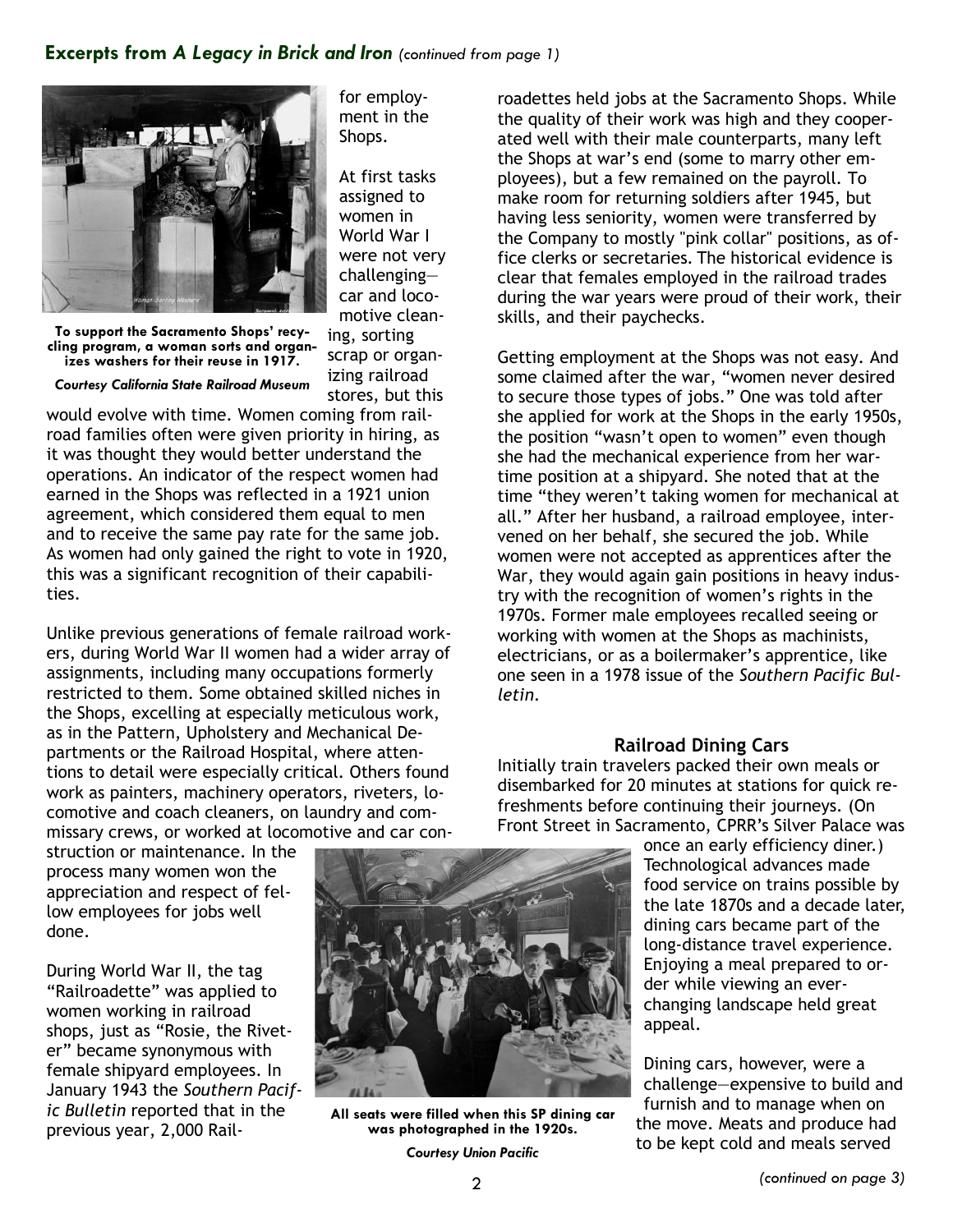#### **Excerpts from** *A Legacy in Brick and Iron (continued from page 1)*



for employment in the Shops.

At first tasks assigned to women in World War I were not very challenging car and locomotive clean-

**To support the Sacramento Shops' recycling program, a woman sorts and organizes washers for their reuse in 1917.** 

ing, sorting scrap or organizing railroad stores, but this

*Courtesy California State Railroad Museum*

would evolve with time. Women coming from railroad families often were given priority in hiring, as it was thought they would better understand the operations. An indicator of the respect women had earned in the Shops was reflected in a 1921 union agreement, which considered them equal to men and to receive the same pay rate for the same job. As women had only gained the right to vote in 1920, this was a significant recognition of their capabilities.

Unlike previous generations of female railroad workers, during World War II women had a wider array of assignments, including many occupations formerly restricted to them. Some obtained skilled niches in the Shops, excelling at especially meticulous work, as in the Pattern, Upholstery and Mechanical Departments or the Railroad Hospital, where attentions to detail were especially critical. Others found work as painters, machinery operators, riveters, locomotive and coach cleaners, on laundry and commissary crews, or worked at locomotive and car con-

struction or maintenance. In the process many women won the appreciation and respect of fellow employees for jobs well done.

During World War II, the tag "Railroadette" was applied to women working in railroad shops, just as "Rosie, the Riveter" became synonymous with female shipyard employees. In January 1943 the *Southern Pacific Bulletin* reported that in the previous year, 2,000 Rail-



**All seats were filled when this SP dining car was photographed in the 1920s.**

*Courtesy Union Pacific*

roadettes held jobs at the Sacramento Shops. While the quality of their work was high and they cooperated well with their male counterparts, many left the Shops at war's end (some to marry other employees), but a few remained on the payroll. To make room for returning soldiers after 1945, but having less seniority, women were transferred by the Company to mostly "pink collar" positions, as office clerks or secretaries. The historical evidence is clear that females employed in the railroad trades during the war years were proud of their work, their skills, and their paychecks.

Getting employment at the Shops was not easy. And some claimed after the war, "women never desired to secure those types of jobs." One was told after she applied for work at the Shops in the early 1950s, the position "wasn't open to women" even though she had the mechanical experience from her wartime position at a shipyard. She noted that at the time "they weren't taking women for mechanical at all." After her husband, a railroad employee, intervened on her behalf, she secured the job. While women were not accepted as apprentices after the War, they would again gain positions in heavy industry with the recognition of women's rights in the 1970s. Former male employees recalled seeing or working with women at the Shops as machinists, electricians, or as a boilermaker's apprentice, like one seen in a 1978 issue of the *Southern Pacific Bulletin*.

#### **Railroad Dining Cars**

Initially train travelers packed their own meals or disembarked for 20 minutes at stations for quick refreshments before continuing their journeys. (On Front Street in Sacramento, CPRR's Silver Palace was

> once an early efficiency diner.) Technological advances made food service on trains possible by the late 1870s and a decade later, dining cars became part of the long-distance travel experience. Enjoying a meal prepared to order while viewing an everchanging landscape held great appeal.

Dining cars, however, were a challenge—expensive to build and furnish and to manage when on the move. Meats and produce had to be kept cold and meals served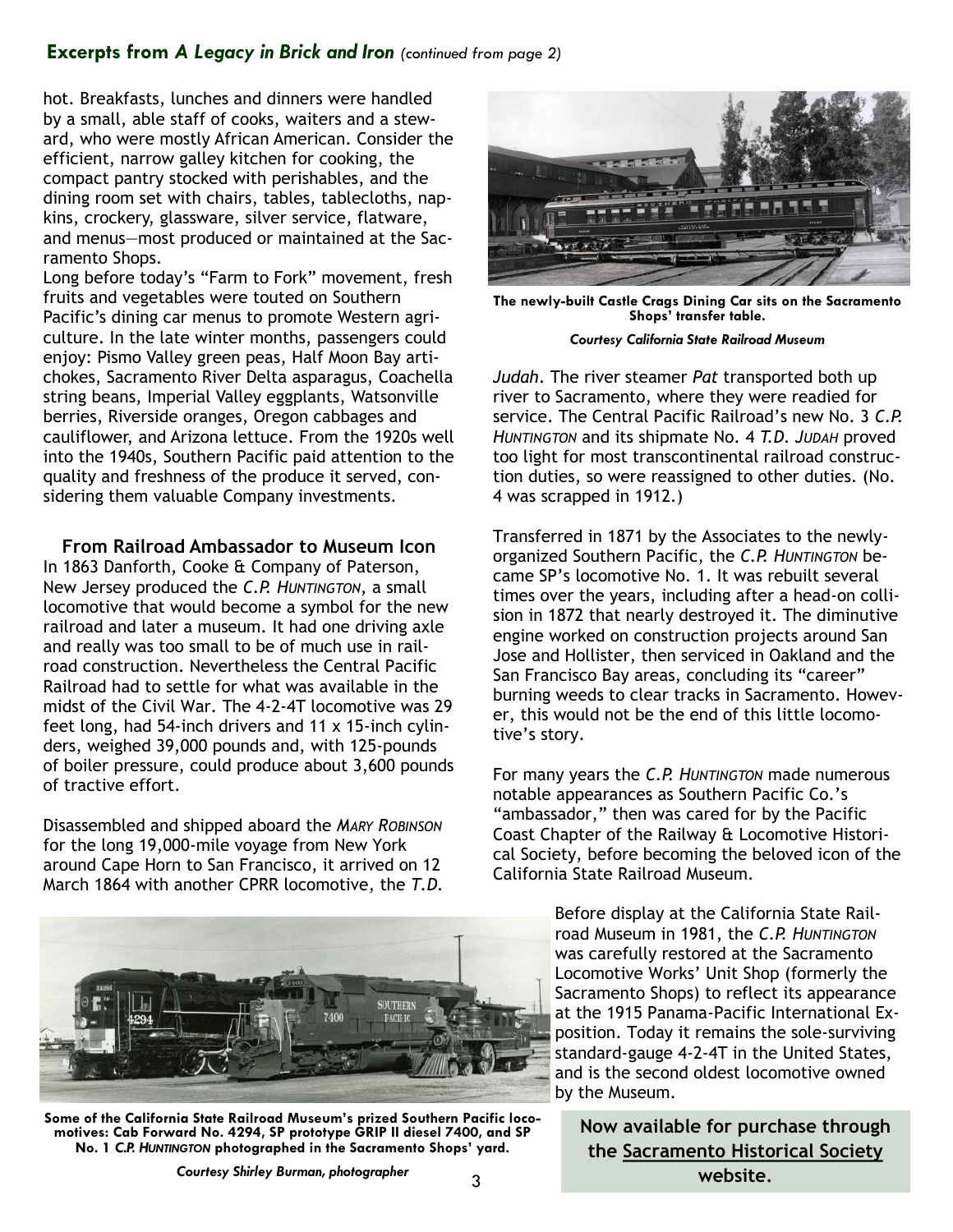#### **Excerpts from** *A Legacy in Brick and Iron (continued from page 2)*

hot. Breakfasts, lunches and dinners were handled by a small, able staff of cooks, waiters and a steward, who were mostly African American. Consider the efficient, narrow galley kitchen for cooking, the compact pantry stocked with perishables, and the dining room set with chairs, tables, tablecloths, napkins, crockery, glassware, silver service, flatware, and menus—most produced or maintained at the Sacramento Shops.

Long before today's "Farm to Fork" movement, fresh fruits and vegetables were touted on Southern Pacific's dining car menus to promote Western agriculture. In the late winter months, passengers could enjoy: Pismo Valley green peas, Half Moon Bay artichokes, Sacramento River Delta asparagus, Coachella string beans, Imperial Valley eggplants, Watsonville berries, Riverside oranges, Oregon cabbages and cauliflower, and Arizona lettuce. From the 1920s well into the 1940s, Southern Pacific paid attention to the quality and freshness of the produce it served, considering them valuable Company investments.

**From Railroad Ambassador to Museum Icon** In 1863 Danforth, Cooke & Company of Paterson, New Jersey produced the *C.P. HUNTINGTON*, a small locomotive that would become a symbol for the new railroad and later a museum. It had one driving axle and really was too small to be of much use in railroad construction. Nevertheless the Central Pacific Railroad had to settle for what was available in the midst of the Civil War. The 4-2-4T locomotive was 29 feet long, had 54-inch drivers and 11 x 15-inch cylinders, weighed 39,000 pounds and, with 125-pounds of boiler pressure, could produce about 3,600 pounds of tractive effort.

Disassembled and shipped aboard the *MARY ROBINSON* for the long 19,000-mile voyage from New York around Cape Horn to San Francisco, it arrived on 12 March 1864 with another CPRR locomotive, the *T.D.* 



**Some of the California State Railroad Museum's prized Southern Pacific locomotives: Cab Forward No. 4294, SP prototype GRIP II diesel 7400, and SP No. 1** *C.P. HUNTINGTON* **photographed in the Sacramento Shops' yard.**



**The newly-built Castle Crags Dining Car sits on the Sacramento Shops' transfer table.**

*Courtesy California State Railroad Museum*

*Judah*. The river steamer *Pat* transported both up river to Sacramento, where they were readied for service. The Central Pacific Railroad's new No. 3 *C.P. HUNTINGTON* and its shipmate No. 4 *T.D. JUDAH* proved too light for most transcontinental railroad construction duties, so were reassigned to other duties. (No. 4 was scrapped in 1912.)

Transferred in 1871 by the Associates to the newlyorganized Southern Pacific, the *C.P. HUNTINGTON* became SP's locomotive No. 1. It was rebuilt several times over the years, including after a head-on collision in 1872 that nearly destroyed it. The diminutive engine worked on construction projects around San Jose and Hollister, then serviced in Oakland and the San Francisco Bay areas, concluding its "career" burning weeds to clear tracks in Sacramento. However, this would not be the end of this little locomotive's story.

For many years the *C.P. HUNTINGTON* made numerous notable appearances as Southern Pacific Co.'s "ambassador," then was cared for by the Pacific Coast Chapter of the Railway & Locomotive Historical Society, before becoming the beloved icon of the California State Railroad Museum.

> Before display at the California State Railroad Museum in 1981, the *C.P. HUNTINGTON* was carefully restored at the Sacramento Locomotive Works' Unit Shop (formerly the Sacramento Shops) to reflect its appearance at the 1915 Panama-Pacific International Exposition. Today it remains the sole-surviving standard-gauge 4-2-4T in the United States, and is the second oldest locomotive owned by the Museum.

**Now available for purchase through the [Sacramento Historical Society](https://www.sachistoricalsociety.org/legacyinbrickandiron) website.**

*Courtesy Shirley Burman, photographer*